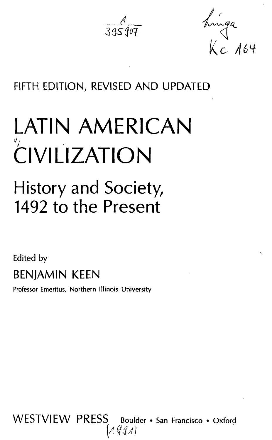$\frac{A}{39590}$ 

hinga<br>Kc 164

## FIFTH EDITION, REVISED AND UPDATED

# LATIN AMERICAN CIVILIZATION

# History and Society, 1492 to the Present

Edited by BENJAMIN KEEN

Professor Emeritus, Northern Illinois University

WESTVIEW PRESS Boulder • San Francisco • Oxford (1991)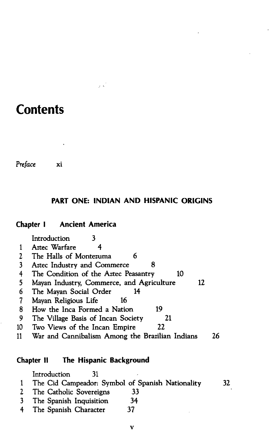### **Contents**

*Preface* xi

#### **PART ONE: INDIAN AND HISPANIC ORIGINS**

#### **Chapter I Ancient America**

Introduction 3 1 Aztec Warfare 4 2 The Halls of Montezuma 6<br>3 Aztec Industry and Commerce Aztec Industry and Commerce 8 4 The Condition of the Aztec Peasantry 10 5 Mayan Industry, Commerce, and Agriculture 12 6 The Mayan Social Order 14<br>7 Mayan Religious Life 16 Mayan Religious Life 16 8 How the Inca Formed a Nation 19 9 The Village Basis of Incan Society 21 10 Two Views of the Incan Empire 22 11 War and Cannibalism Among the Brazilian Indians 26

#### **Chapter II The Hispanic Background**

Introduction 31 1 The Cid Campeador: Symbol of Spanish Nationality 32 2 The Catholic Sovereigns 33 3 The Spanish Inquisition 34 4 The Spanish Character 37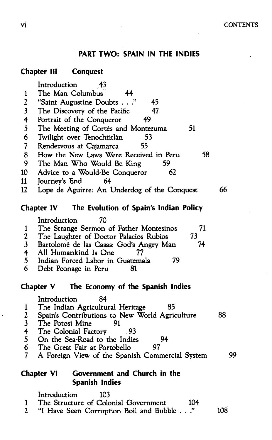#### **PART TWO: SPAIN IN THE INDIES**

#### **Chapter III Conquest**

|                          | Introduction<br>-43                                                        |    |
|--------------------------|----------------------------------------------------------------------------|----|
| $\mathbf{1}$             | The Man Columbus<br>44                                                     |    |
| $\mathbf 2$              | "Saint Augustine Doubts"<br>45                                             |    |
| $\overline{\mathbf{3}}$  | The Discovery of the Pacific<br>47                                         |    |
| 4                        | Portrait of the Conqueror<br>49                                            |    |
| 5                        | 51<br>The Meeting of Cortés and Montezuma                                  |    |
| 6                        | Twilight over Tenochtitlán<br>53                                           |    |
| $\overline{\mathcal{L}}$ | 55<br>Rendezvous at Cajamarca                                              |    |
| 8                        | 58<br>How the New Laws Were Received in Peru                               |    |
| 9                        | The Man Who Would Be King<br>59                                            |    |
| 10 <sup>10</sup>         | 62<br>Advice to a Would-Be Conqueror                                       |    |
| 11                       | Journey's End<br>64                                                        |    |
| 12                       | Lope de Aguirre: An Underdog of the Conquest                               | 66 |
|                          | The Evolution of Spain's Indian Policy<br>Chapter IV                       |    |
|                          | Introduction<br>70                                                         |    |
| $\mathbf{1}$             | The Strange Sermon of Father Montesinos<br>71                              |    |
| $\boldsymbol{2}$         | The Laughter of Doctor Palacios Rubios<br>73                               |    |
| $\overline{\mathbf{3}}$  | Bartolomé de las Casas: God's Angry Man<br>74                              |    |
| $\overline{\mathbf{f}}$  | All Humankind Is One<br>77                                                 |    |
| 5                        | Indian Forced Labor in Guatemala<br>79                                     |    |
| 6                        | Debt Peonage in Peru<br>81                                                 |    |
|                          | Chapter V<br>The Economy of the Spanish Indies                             |    |
|                          | Introduction<br>84                                                         |    |
| $\mathbf{1}$             | 85<br>The Indian Agricultural Heritage                                     |    |
| 2345                     | Spain's Contributions to New World Agriculture                             | 88 |
|                          | The Potosí Mine<br>91                                                      |    |
|                          | The Colonial Factory<br>- 93                                               |    |
|                          | On the Sea-Road to the Indies<br>94                                        |    |
| 6                        | 97<br>The Great Fair at Portobello                                         | 99 |
| $\overline{\mathcal{L}}$ | A Foreign View of the Spanish Commercial System                            |    |
|                          | Government and Church in the<br><b>Chapter VI</b><br><b>Spanish Indies</b> |    |
|                          |                                                                            |    |
|                          | Introduction<br>103<br>The Structure of Colonial Government<br>104         |    |
| 1<br>$\overline{2}$      |                                                                            |    |

J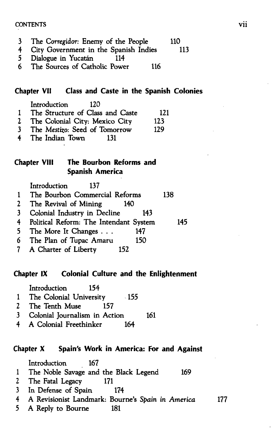#### CONTENTS VII

- 3 The *Corregidor:* Enemy of the People 110
- City Government in the Spanish Indies
- 5 Dialogue in Yucatan 114
- 6 The Sources of Catholic Power 116

#### **Chapter VII Class and Caste in the Spanish Colonies**

|              | Introduction<br>120              |     |
|--------------|----------------------------------|-----|
| $\mathbf{1}$ | The Structure of Class and Caste | 121 |
| $\mathbf{2}$ | The Colonial City: Mexico City   | 123 |
| 3.           | The Mestizo: Seed of Tomorrow    | 129 |
| 4            | The Indian Town<br>131           |     |

#### **Chapter VIII The Bourbon Reforms and Spanish America**

|                | Introduction<br>137                    |     |     |
|----------------|----------------------------------------|-----|-----|
|                | The Bourbon Commercial Reforms         |     | 138 |
| $\mathbf{2}$   | The Revival of Mining                  | 140 |     |
| $\mathbf{3}$   | Colonial Industry in Decline           | 143 |     |
| 4              | Political Reform: The Intendant System |     | 145 |
| 5 <sub>1</sub> | The More It Changes                    | 147 |     |
|                | 6 The Plan of Tupac Amaru              | 150 |     |
|                |                                        |     |     |

#### 7 A Charter of Liberty 152

#### **Chapter IX Colonial Culture and the Enlightenment**

|              | Introduction<br>154               |     |
|--------------|-----------------------------------|-----|
| $\mathbf{1}$ | The Colonial University<br>$-155$ |     |
| <b>2</b>     | The Tenth Muse<br>157             |     |
| 3            | Colonial Journalism in Action     | 161 |
| 4            | A Colonial Freethinker<br>164     |     |

#### **Chapter X Spain's Work in America: For and Against**

Introduction 167 1 The Noble Savage and the Black Legend 169 2 The Fatal Legacy 171 3 In Defense of Spain 174 4 A Revisionist Landmark: Bourne's Spain *in America* 177

5 A Reply to Bourne 181